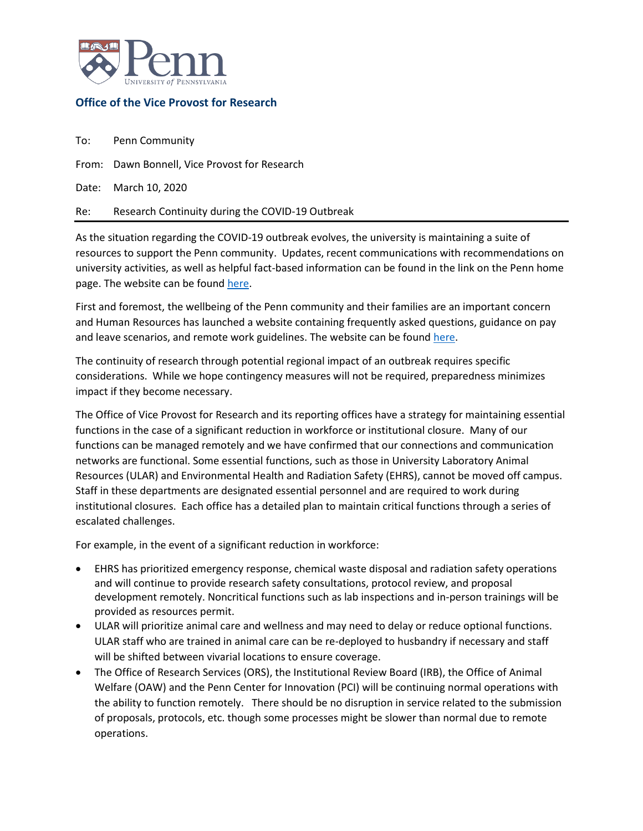

## **Office of the Vice Provost for Research**

To: Penn Community

From: Dawn Bonnell, Vice Provost for Research

Date: March 10, 2020

Re: Research Continuity during the COVID-19 Outbreak

As the situation regarding the COVID-19 outbreak evolves, the university is maintaining a suite of resources to support the Penn community. Updates, recent communications with recommendations on university activities, as well as helpful fact-based information can be found in the link on the Penn home page. The website can be foun[d here.](https://wellness.upenn.edu/coronavirus/)

First and foremost, the wellbeing of the Penn community and their families are an important concern and Human Resources has launched a website containing frequently asked questions, guidance on pay and leave scenarios, and remote work guidelines. The website can be foun[d here.](https://www.hr.upenn.edu/PennHR/wellness-worklife/communicable-disease-health-and-safety)

The continuity of research through potential regional impact of an outbreak requires specific considerations. While we hope contingency measures will not be required, preparedness minimizes impact if they become necessary.

The Office of Vice Provost for Research and its reporting offices have a strategy for maintaining essential functions in the case of a significant reduction in workforce or institutional closure. Many of our functions can be managed remotely and we have confirmed that our connections and communication networks are functional. Some essential functions, such as those in University Laboratory Animal Resources (ULAR) and Environmental Health and Radiation Safety (EHRS), cannot be moved off campus. Staff in these departments are designated essential personnel and are required to work during institutional closures. Each office has a detailed plan to maintain critical functions through a series of escalated challenges.

For example, in the event of a significant reduction in workforce:

- EHRS has prioritized emergency response, chemical waste disposal and radiation safety operations and will continue to provide research safety consultations, protocol review, and proposal development remotely. Noncritical functions such as lab inspections and in-person trainings will be provided as resources permit.
- ULAR will prioritize animal care and wellness and may need to delay or reduce optional functions. ULAR staff who are trained in animal care can be re-deployed to husbandry if necessary and staff will be shifted between vivarial locations to ensure coverage.
- The Office of Research Services (ORS), the Institutional Review Board (IRB), the Office of Animal Welfare (OAW) and the Penn Center for Innovation (PCI) will be continuing normal operations with the ability to function remotely. There should be no disruption in service related to the submission of proposals, protocols, etc. though some processes might be slower than normal due to remote operations.